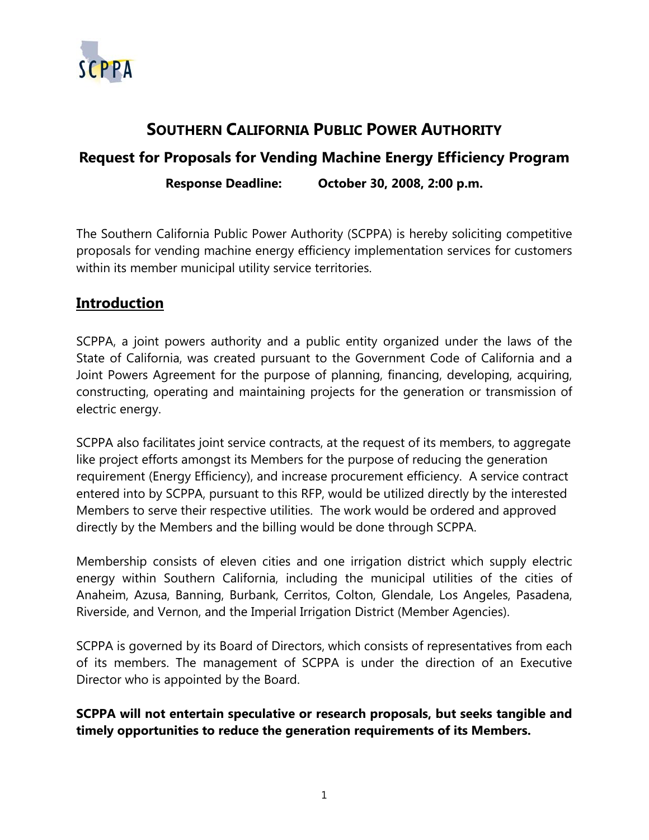

## **SOUTHERN CALIFORNIA PUBLIC POWER AUTHORITY**

# **Request for Proposals for Vending Machine Energy Efficiency Program Response Deadline: October 30, 2008, 2:00 p.m.**

The Southern California Public Power Authority (SCPPA) is hereby soliciting competitive proposals for vending machine energy efficiency implementation services for customers within its member municipal utility service territories.

#### **Introduction**

SCPPA, a joint powers authority and a public entity organized under the laws of the State of California, was created pursuant to the Government Code of California and a Joint Powers Agreement for the purpose of planning, financing, developing, acquiring, constructing, operating and maintaining projects for the generation or transmission of electric energy.

SCPPA also facilitates joint service contracts, at the request of its members, to aggregate like project efforts amongst its Members for the purpose of reducing the generation requirement (Energy Efficiency), and increase procurement efficiency. A service contract entered into by SCPPA, pursuant to this RFP, would be utilized directly by the interested Members to serve their respective utilities. The work would be ordered and approved directly by the Members and the billing would be done through SCPPA.

Membership consists of eleven cities and one irrigation district which supply electric energy within Southern California, including the municipal utilities of the cities of Anaheim, Azusa, Banning, Burbank, Cerritos, Colton, Glendale, Los Angeles, Pasadena, Riverside, and Vernon, and the Imperial Irrigation District (Member Agencies).

SCPPA is governed by its Board of Directors, which consists of representatives from each of its members. The management of SCPPA is under the direction of an Executive Director who is appointed by the Board.

**SCPPA will not entertain speculative or research proposals, but seeks tangible and timely opportunities to reduce the generation requirements of its Members.**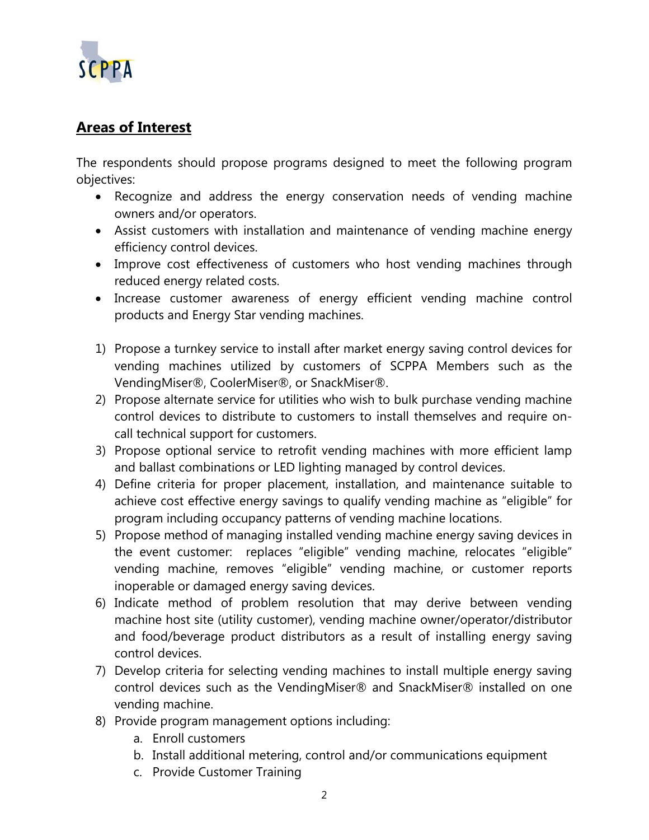

## **Areas of Interest**

The respondents should propose programs designed to meet the following program objectives:

- Recognize and address the energy conservation needs of vending machine owners and/or operators.
- Assist customers with installation and maintenance of vending machine energy efficiency control devices.
- Improve cost effectiveness of customers who host vending machines through reduced energy related costs.
- Increase customer awareness of energy efficient vending machine control products and Energy Star vending machines.
- 1) Propose a turnkey service to install after market energy saving control devices for vending machines utilized by customers of SCPPA Members such as the VendingMiser®, CoolerMiser®, or SnackMiser®.
- 2) Propose alternate service for utilities who wish to bulk purchase vending machine control devices to distribute to customers to install themselves and require oncall technical support for customers.
- 3) Propose optional service to retrofit vending machines with more efficient lamp and ballast combinations or LED lighting managed by control devices.
- 4) Define criteria for proper placement, installation, and maintenance suitable to achieve cost effective energy savings to qualify vending machine as "eligible" for program including occupancy patterns of vending machine locations.
- 5) Propose method of managing installed vending machine energy saving devices in the event customer: replaces "eligible" vending machine, relocates "eligible" vending machine, removes "eligible" vending machine, or customer reports inoperable or damaged energy saving devices.
- 6) Indicate method of problem resolution that may derive between vending machine host site (utility customer), vending machine owner/operator/distributor and food/beverage product distributors as a result of installing energy saving control devices.
- 7) Develop criteria for selecting vending machines to install multiple energy saving control devices such as the VendingMiser® and SnackMiser® installed on one vending machine.
- 8) Provide program management options including:
	- a. Enroll customers
	- b. Install additional metering, control and/or communications equipment
	- c. Provide Customer Training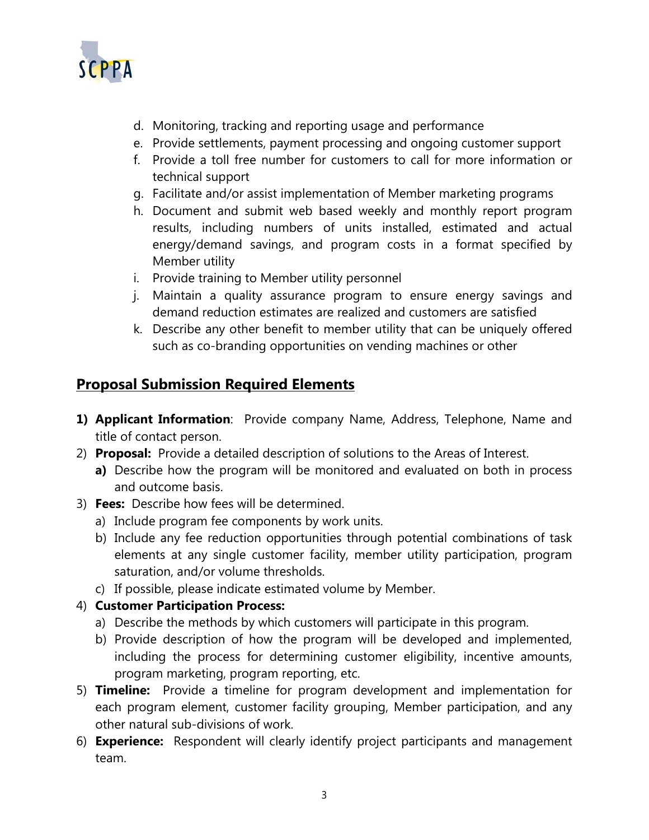

- d. Monitoring, tracking and reporting usage and performance
- e. Provide settlements, payment processing and ongoing customer support
- f. Provide a toll free number for customers to call for more information or technical support
- g. Facilitate and/or assist implementation of Member marketing programs
- h. Document and submit web based weekly and monthly report program results, including numbers of units installed, estimated and actual energy/demand savings, and program costs in a format specified by Member utility
- i. Provide training to Member utility personnel
- j. Maintain a quality assurance program to ensure energy savings and demand reduction estimates are realized and customers are satisfied
- k. Describe any other benefit to member utility that can be uniquely offered such as co-branding opportunities on vending machines or other

### **Proposal Submission Required Elements**

- **1) Applicant Information**: Provide company Name, Address, Telephone, Name and title of contact person.
- 2) **Proposal:** Provide a detailed description of solutions to the Areas of Interest.
	- **a)** Describe how the program will be monitored and evaluated on both in process and outcome basis.
- 3) **Fees:** Describe how fees will be determined.
	- a) Include program fee components by work units.
	- b) Include any fee reduction opportunities through potential combinations of task elements at any single customer facility, member utility participation, program saturation, and/or volume thresholds.
	- c) If possible, please indicate estimated volume by Member.
- 4) **Customer Participation Process:**
	- a) Describe the methods by which customers will participate in this program.
	- b) Provide description of how the program will be developed and implemented, including the process for determining customer eligibility, incentive amounts, program marketing, program reporting, etc.
- 5) **Timeline:** Provide a timeline for program development and implementation for each program element, customer facility grouping, Member participation, and any other natural sub-divisions of work.
- 6) **Experience:** Respondent will clearly identify project participants and management team.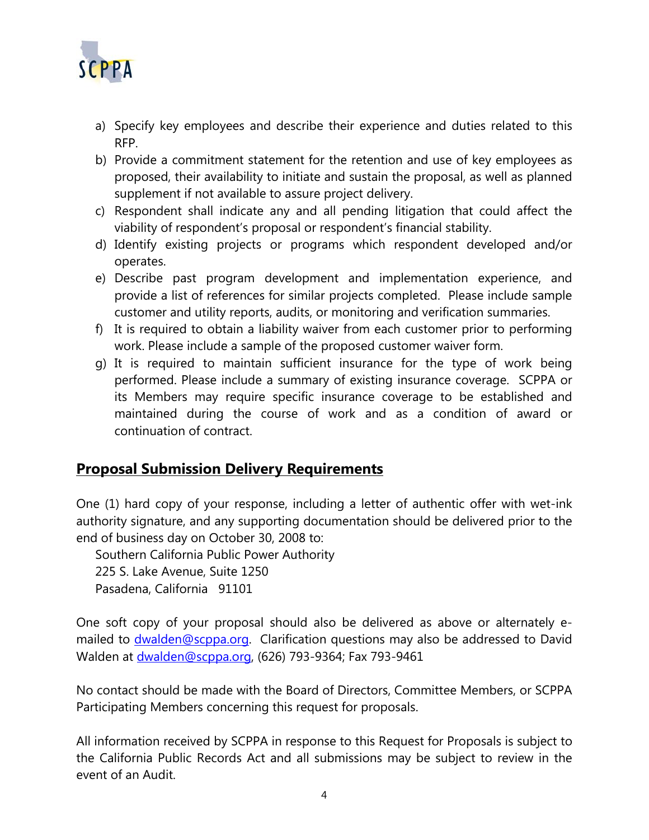

- a) Specify key employees and describe their experience and duties related to this RFP.
- b) Provide a commitment statement for the retention and use of key employees as proposed, their availability to initiate and sustain the proposal, as well as planned supplement if not available to assure project delivery.
- c) Respondent shall indicate any and all pending litigation that could affect the viability of respondent's proposal or respondent's financial stability.
- d) Identify existing projects or programs which respondent developed and/or operates.
- e) Describe past program development and implementation experience, and provide a list of references for similar projects completed. Please include sample customer and utility reports, audits, or monitoring and verification summaries.
- f) It is required to obtain a liability waiver from each customer prior to performing work. Please include a sample of the proposed customer waiver form.
- g) It is required to maintain sufficient insurance for the type of work being performed. Please include a summary of existing insurance coverage. SCPPA or its Members may require specific insurance coverage to be established and maintained during the course of work and as a condition of award or continuation of contract.

#### **Proposal Submission Delivery Requirements**

One (1) hard copy of your response, including a letter of authentic offer with wet-ink authority signature, and any supporting documentation should be delivered prior to the end of business day on October 30, 2008 to:

Southern California Public Power Authority 225 S. Lake Avenue, Suite 1250 Pasadena, California 91101

One soft copy of your proposal should also be delivered as above or alternately emailed to **[dwalden@scppa.org.](mailto:dwalden@scppa.org)** Clarification questions may also be addressed to David Walden at [dwalden@scppa.org](mailto:dwalden@scppa.org), (626) 793-9364; Fax 793-9461

No contact should be made with the Board of Directors, Committee Members, or SCPPA Participating Members concerning this request for proposals.

All information received by SCPPA in response to this Request for Proposals is subject to the California Public Records Act and all submissions may be subject to review in the event of an Audit.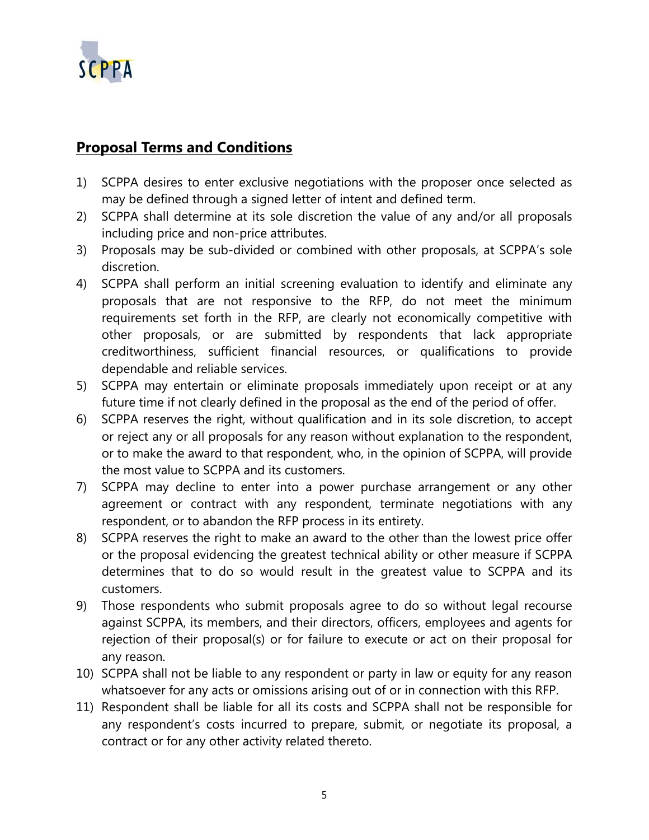

# **Proposal Terms and Conditions**

- 1) SCPPA desires to enter exclusive negotiations with the proposer once selected as may be defined through a signed letter of intent and defined term.
- 2) SCPPA shall determine at its sole discretion the value of any and/or all proposals including price and non-price attributes.
- 3) Proposals may be sub-divided or combined with other proposals, at SCPPA's sole discretion.
- 4) SCPPA shall perform an initial screening evaluation to identify and eliminate any proposals that are not responsive to the RFP, do not meet the minimum requirements set forth in the RFP, are clearly not economically competitive with other proposals, or are submitted by respondents that lack appropriate creditworthiness, sufficient financial resources, or qualifications to provide dependable and reliable services.
- 5) SCPPA may entertain or eliminate proposals immediately upon receipt or at any future time if not clearly defined in the proposal as the end of the period of offer.
- 6) SCPPA reserves the right, without qualification and in its sole discretion, to accept or reject any or all proposals for any reason without explanation to the respondent, or to make the award to that respondent, who, in the opinion of SCPPA, will provide the most value to SCPPA and its customers.
- 7) SCPPA may decline to enter into a power purchase arrangement or any other agreement or contract with any respondent, terminate negotiations with any respondent, or to abandon the RFP process in its entirety.
- 8) SCPPA reserves the right to make an award to the other than the lowest price offer or the proposal evidencing the greatest technical ability or other measure if SCPPA determines that to do so would result in the greatest value to SCPPA and its customers.
- 9) Those respondents who submit proposals agree to do so without legal recourse against SCPPA, its members, and their directors, officers, employees and agents for rejection of their proposal(s) or for failure to execute or act on their proposal for any reason.
- 10) SCPPA shall not be liable to any respondent or party in law or equity for any reason whatsoever for any acts or omissions arising out of or in connection with this RFP.
- 11) Respondent shall be liable for all its costs and SCPPA shall not be responsible for any respondent's costs incurred to prepare, submit, or negotiate its proposal, a contract or for any other activity related thereto.